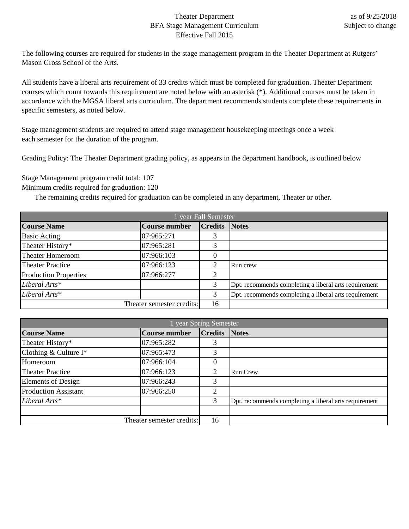## Theater Department BFA Stage Management Curriculum Effective Fall 2015

The following courses are required for students in the stage management program in the Theater Department at Rutgers' Mason Gross School of the Arts.

All students have a liberal arts requirement of 33 credits which must be completed for graduation. Theater Department courses which count towards this requirement are noted below with an asterisk (\*). Additional courses must be taken in accordance with the MGSA liberal arts curriculum. The department recommends students complete these requirements in specific semesters, as noted below.

Stage management students are required to attend stage management housekeeping meetings once a week each semester for the duration of the program.

Grading Policy: The Theater Department grading policy, as appears in the department handbook, is outlined below

Stage Management program credit total: 107

Minimum credits required for graduation: 120

The remaining credits required for graduation can be completed in any department, Theater or other.

| year Fall Semester           |                           |                      |                                                       |
|------------------------------|---------------------------|----------------------|-------------------------------------------------------|
| <b>Course Name</b>           | <b>Course number</b>      | <b>Credits Notes</b> |                                                       |
| <b>Basic Acting</b>          | 07:965:271                |                      |                                                       |
| Theater History*             | 07:965:281                | 3                    |                                                       |
| Theater Homeroom             | 07:966:103                | 0                    |                                                       |
| <b>Theater Practice</b>      | 07:966:123                | ⌒                    | Run crew                                              |
| <b>Production Properties</b> | 07:966:277                | ↑                    |                                                       |
| Liberal Arts*                |                           | 3                    | Dpt. recommends completing a liberal arts requirement |
| Liberal Arts*                |                           | 3                    | Dpt. recommends completing a liberal arts requirement |
|                              | Theater semester credits: | 16                   |                                                       |

| 1 year Spring Semester      |                           |                |                                                       |
|-----------------------------|---------------------------|----------------|-------------------------------------------------------|
| <b>Course Name</b>          | <b>Course number</b>      | <b>Credits</b> | <b>Notes</b>                                          |
| Theater History*            | 07:965:282                |                |                                                       |
| Clothing & Culture $I^*$    | 07:965:473                | 3              |                                                       |
| Homeroom                    | 07:966:104                | $\theta$       |                                                       |
| <b>Theater Practice</b>     | 07:966:123                | ⌒              | <b>Run Crew</b>                                       |
| <b>Elements of Design</b>   | 07:966:243                | 3              |                                                       |
| <b>Production Assistant</b> | 07:966:250                | ↑              |                                                       |
| Liberal Arts*               |                           | 3              | Dpt. recommends completing a liberal arts requirement |
|                             |                           |                |                                                       |
|                             | Theater semester credits: | 16             |                                                       |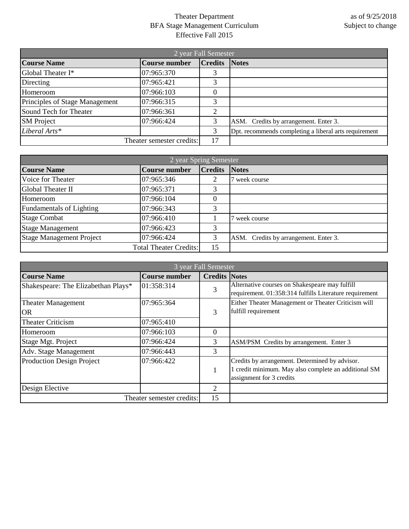## Theater Department BFA Stage Management Curriculum Effective Fall 2015

| 2 year Fall Semester           |                           |                |                                                       |
|--------------------------------|---------------------------|----------------|-------------------------------------------------------|
| <b>Course Name</b>             | <b>Course number</b>      | <b>Credits</b> | <b>Notes</b>                                          |
| Global Theater I*              | 07:965:370                | 3              |                                                       |
| Directing                      | 07:965:421                | 3              |                                                       |
| Homeroom                       | 07:966:103                | $\theta$       |                                                       |
| Principles of Stage Management | 07:966:315                | 3              |                                                       |
| Sound Tech for Theater         | 07:966:361                | ◠              |                                                       |
| <b>SM</b> Project              | 07:966:424                | 3              | ASM. Credits by arrangement. Enter 3.                 |
| Liberal Arts*                  |                           | 3              | Dpt. recommends completing a liberal arts requirement |
|                                | Theater semester credits: | 17             |                                                       |

| 2 year Spring Semester          |                               |                |                                       |  |
|---------------------------------|-------------------------------|----------------|---------------------------------------|--|
| <b>Course Name</b>              | Course number                 | <b>Credits</b> | <b>Notes</b>                          |  |
| Voice for Theater               | 07:965:346                    |                | week course                           |  |
| <b>Global Theater II</b>        | 07:965:371                    | 3              |                                       |  |
| Homeroom                        | 07:966:104                    | 0              |                                       |  |
| <b>Fundamentals of Lighting</b> | 07:966:343                    | 3              |                                       |  |
| <b>Stage Combat</b>             | 07:966:410                    |                | week course                           |  |
| <b>Stage Management</b>         | 07:966:423                    | 3              |                                       |  |
| <b>Stage Management Project</b> | 07:966:424                    | 3              | ASM. Credits by arrangement. Enter 3. |  |
|                                 | <b>Total Theater Credits:</b> | 15             |                                       |  |

| 3 year Fall Semester                |                           |                      |                                                                                                           |
|-------------------------------------|---------------------------|----------------------|-----------------------------------------------------------------------------------------------------------|
| <b>Course Name</b>                  | <b>Course number</b>      | <b>Credits Notes</b> |                                                                                                           |
| Shakespeare: The Elizabethan Plays* | 01:358:314                | 3                    | Alternative courses on Shakespeare may fulfill<br>requirement. 01:358:314 fulfills Literature requirement |
| <b>Theater Management</b>           | 07:965:364                |                      | Either Theater Management or Theater Criticism will                                                       |
| <b>OR</b>                           |                           | 3                    | fulfill requirement                                                                                       |
| <b>Theater Criticism</b>            | 07:965:410                |                      |                                                                                                           |
| Homeroom                            | 07:966:103                | 0                    |                                                                                                           |
| Stage Mgt. Project                  | 07:966:424                | 3                    | ASM/PSM Credits by arrangement. Enter 3                                                                   |
| Adv. Stage Management               | 07:966:443                | 3                    |                                                                                                           |
| Production Design Project           | 07:966:422                |                      | Credits by arrangement. Determined by advisor.<br>1 credit minimum. May also complete an additional SM    |
|                                     |                           |                      | assignment for 3 credits                                                                                  |
| Design Elective                     |                           | 2                    |                                                                                                           |
|                                     | Theater semester credits: | 15                   |                                                                                                           |